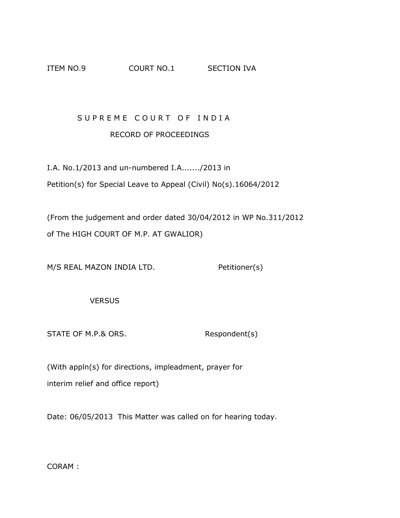## ITEM NO.9 COURT NO.1 SECTION IVA

## SUPREME COURT OF INDIA RECORD OF PROCEEDINGS

I.A. No.1/2013 and un-numbered I.A......./2013 in Petition(s) for Special Leave to Appeal (Civil) No(s).16064/2012

(From the judgement and order dated 30/04/2012 in WP No.311/2012 of The HIGH COURT OF M.P. AT GWALIOR)

M/S REAL MAZON INDIA LTD. Petitioner(s)

**VERSUS** 

STATE OF M.P.& ORS. Respondent(s)

(With appln(s) for directions, impleadment, prayer for interim relief and office report)

Date: 06/05/2013 This Matter was called on for hearing today.

CORAM :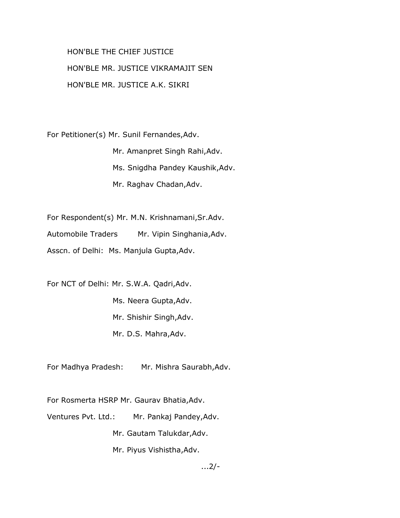HON'BLE THE CHIEF JUSTICE HON'BLE MR. JUSTICE VIKRAMAJIT SEN HON'BLE MR. JUSTICE A.K. SIKRI

For Petitioner(s) Mr. Sunil Fernandes,Adv.

 Mr. Amanpret Singh Rahi,Adv. Ms. Snigdha Pandey Kaushik,Adv. Mr. Raghav Chadan,Adv.

For Respondent(s) Mr. M.N. Krishnamani,Sr.Adv.

Automobile Traders Mr. Vipin Singhania,Adv.

Asscn. of Delhi: Ms. Manjula Gupta,Adv.

For NCT of Delhi: Mr. S.W.A. Qadri,Adv. Ms. Neera Gupta,Adv. Mr. Shishir Singh,Adv. Mr. D.S. Mahra,Adv.

For Madhya Pradesh: Mr. Mishra Saurabh,Adv.

For Rosmerta HSRP Mr. Gaurav Bhatia,Adv.

Ventures Pvt. Ltd.: Mr. Pankaj Pandey,Adv.

Mr. Gautam Talukdar,Adv.

Mr. Piyus Vishistha,Adv.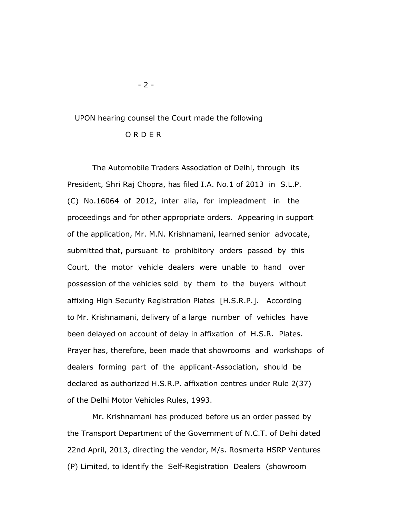## UPON hearing counsel the Court made the following

## O R D E R

 The Automobile Traders Association of Delhi, through its President, Shri Raj Chopra, has filed I.A. No.1 of 2013 in S.L.P. (C) No.16064 of 2012, inter alia, for impleadment in the proceedings and for other appropriate orders. Appearing in support of the application, Mr. M.N. Krishnamani, learned senior advocate, submitted that, pursuant to prohibitory orders passed by this Court, the motor vehicle dealers were unable to hand over possession of the vehicles sold by them to the buyers without affixing High Security Registration Plates [H.S.R.P.]. According to Mr. Krishnamani, delivery of a large number of vehicles have been delayed on account of delay in affixation of H.S.R. Plates. Prayer has, therefore, been made that showrooms and workshops of dealers forming part of the applicant-Association, should be declared as authorized H.S.R.P. affixation centres under Rule 2(37) of the Delhi Motor Vehicles Rules, 1993.

 Mr. Krishnamani has produced before us an order passed by the Transport Department of the Government of N.C.T. of Delhi dated 22nd April, 2013, directing the vendor, M/s. Rosmerta HSRP Ventures (P) Limited, to identify the Self-Registration Dealers (showroom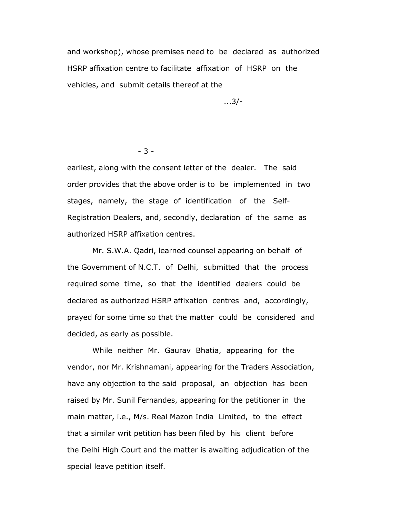and workshop), whose premises need to be declared as authorized HSRP affixation centre to facilitate affixation of HSRP on the vehicles, and submit details thereof at the

...3/-

- 3 -

 earliest, along with the consent letter of the dealer. The said order provides that the above order is to be implemented in two stages, namely, the stage of identification of the Self- Registration Dealers, and, secondly, declaration of the same as authorized HSRP affixation centres.

 Mr. S.W.A. Qadri, learned counsel appearing on behalf of the Government of N.C.T. of Delhi, submitted that the process required some time, so that the identified dealers could be declared as authorized HSRP affixation centres and, accordingly, prayed for some time so that the matter could be considered and decided, as early as possible.

 While neither Mr. Gaurav Bhatia, appearing for the vendor, nor Mr. Krishnamani, appearing for the Traders Association, have any objection to the said proposal, an objection has been raised by Mr. Sunil Fernandes, appearing for the petitioner in the main matter, i.e., M/s. Real Mazon India Limited, to the effect that a similar writ petition has been filed by his client before the Delhi High Court and the matter is awaiting adjudication of the special leave petition itself.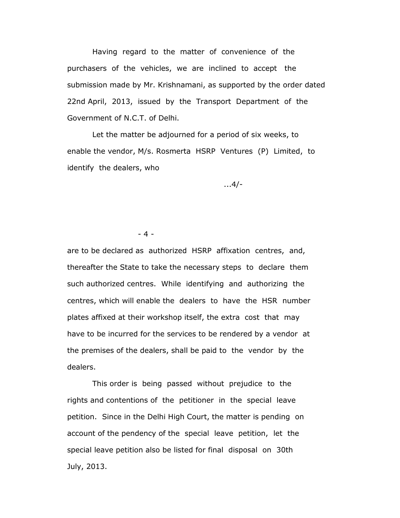Having regard to the matter of convenience of the purchasers of the vehicles, we are inclined to accept the submission made by Mr. Krishnamani, as supported by the order dated 22nd April, 2013, issued by the Transport Department of the Government of N.C.T. of Delhi.

 Let the matter be adjourned for a period of six weeks, to enable the vendor, M/s. Rosmerta HSRP Ventures (P) Limited, to identify the dealers, who

...4/-

- 4 -

 are to be declared as authorized HSRP affixation centres, and, thereafter the State to take the necessary steps to declare them such authorized centres. While identifying and authorizing the centres, which will enable the dealers to have the HSR number plates affixed at their workshop itself, the extra cost that may have to be incurred for the services to be rendered by a vendor at the premises of the dealers, shall be paid to the vendor by the dealers.

 This order is being passed without prejudice to the rights and contentions of the petitioner in the special leave petition. Since in the Delhi High Court, the matter is pending on account of the pendency of the special leave petition, let the special leave petition also be listed for final disposal on 30th July, 2013.